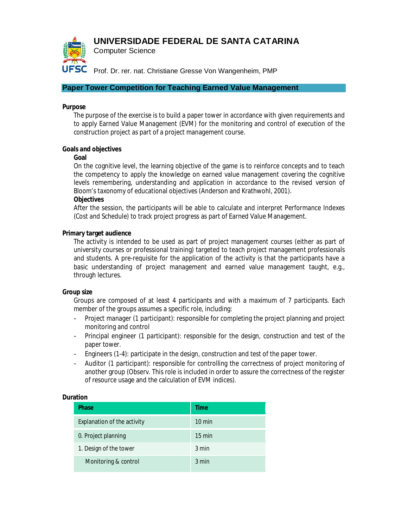# **UNIVERSIDADE FEDERAL DE SANTA CATARINA**



Computer Science

UFSC Prof. Dr. rer. nat. Christiane Gresse Von Wangenheim, PMP

# **Paper Tower Competition for Teaching Earned Value Management**

# **Purpose**

The purpose of the exercise is to build a paper tower in accordance with given requirements and to apply Earned Value Management (EVM) for the monitoring and control of execution of the construction project as part of a project management course.

## **Goals and objectives**

## **Goal**

On the cognitive level, the learning objective of the game is to reinforce concepts and to teach the competency to apply the knowledge on earned value management covering the cognitive levels remembering, understanding and application in accordance to the revised version of Bloom's taxonomy of educational objectives (Anderson and Krathwohl, 2001).

## **Objectives**

After the session, the participants will be able to calculate and interpret Performance Indexes (Cost and Schedule) to track project progress as part of Earned Value Management.

## **Primary target audience**

The activity is intended to be used as part of project management courses (either as part of university courses or professional training) targeted to teach project management professionals and students. A pre-requisite for the application of the activity is that the participants have a basic understanding of project management and earned value management taught, e.g., through lectures.

# **Group size**

Groups are composed of at least 4 participants and with a maximum of 7 participants. Each member of the groups assumes a specific role, including:

- Project manager (1 participant): responsible for completing the project planning and project monitoring and control
- Principal engineer (1 participant): responsible for the design, construction and test of the paper tower.
- Engineers (1-4): participate in the design, construction and test of the paper tower.
- Auditor (1 participant): responsible for controlling the correctness of project monitoring of another group (Observ. This role is included in order to assure the correctness of the register of resource usage and the calculation of EVM indices).

#### **Duration**

| <b>Phase</b>                | <b>Time</b>      |
|-----------------------------|------------------|
| Explanation of the activity | $10 \text{ min}$ |
| 0. Project planning         | $15 \text{ min}$ |
| 1. Design of the tower      | 3 min            |
| Monitoring & control        | 3 min            |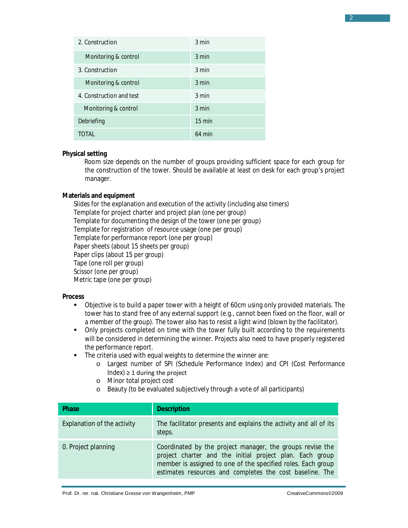| 2. Construction          | 3 min            |
|--------------------------|------------------|
| Monitoring & control     | 3 min            |
| 3. Construction          | 3 min            |
| Monitoring & control     | $3 \text{ min}$  |
| 4. Construction and test | $3 \text{ min}$  |
| Monitoring & control     | 3 min            |
| Debriefing               | $15 \text{ min}$ |
| TOTAL                    | $64$ min         |

#### **Physical setting**

Room size depends on the number of groups providing sufficient space for each group for the construction of the tower. Should be available at least on desk for each group's project manager.

## **Materials and equipment**

Slides for the explanation and execution of the activity (including also timers) Template for project charter and project plan (one per group) Template for documenting the design of the tower (one per group) Template for registration of resource usage (one per group) Template for performance report (one per group) Paper sheets (about 15 sheets per group) Paper clips (about 15 per group) Tape (one roll per group) Scissor (one per group) Metric tape (one per group)

#### **Process**

- Objective is to build a paper tower with a height of 60cm using only provided materials. The tower has to stand free of any external support (e.g., cannot been fixed on the floor, wall or a member of the group). The tower also has to resist a light wind (blown by the facilitator).
- Only projects completed on time with the tower fully built according to the requirements will be considered in determining the winner. Projects also need to have properly registered the performance report.
- **The criteria used with equal weights to determine the winner are:** 
	- o Largest number of SPI (Schedule Performance Index) and CPI (Cost Performance  $Index) \geq 1$  during the project
	- o Minor total project cost
	- o Beauty (to be evaluated subjectively through a vote of all participants)

| <b>Phase</b>                | <b>Description</b>                                                                                                                                                                                                                                |
|-----------------------------|---------------------------------------------------------------------------------------------------------------------------------------------------------------------------------------------------------------------------------------------------|
| Explanation of the activity | The facilitator presents and explains the activity and all of its<br>steps.                                                                                                                                                                       |
| 0. Project planning         | Coordinated by the project manager, the groups revise the<br>project charter and the initial project plan. Each group<br>member is assigned to one of the specified roles. Each group<br>estimates resources and completes the cost baseline. The |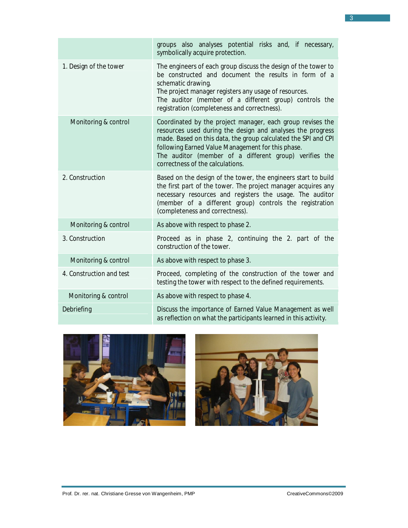|                          | groups also analyses potential risks and, if necessary,<br>symbolically acquire protection.                                                                                                                                                                                                                                                   |
|--------------------------|-----------------------------------------------------------------------------------------------------------------------------------------------------------------------------------------------------------------------------------------------------------------------------------------------------------------------------------------------|
| 1. Design of the tower   | The engineers of each group discuss the design of the tower to<br>be constructed and document the results in form of a<br>schematic drawing.<br>The project manager registers any usage of resources.<br>The auditor (member of a different group) controls the<br>registration (completeness and correctness).                               |
| Monitoring & control     | Coordinated by the project manager, each group revises the<br>resources used during the design and analyses the progress<br>made. Based on this data, the group calculated the SPI and CPI<br>following Earned Value Management for this phase.<br>The auditor (member of a different group) verifies the<br>correctness of the calculations. |
| 2. Construction          | Based on the design of the tower, the engineers start to build<br>the first part of the tower. The project manager acquires any<br>necessary resources and registers the usage. The auditor<br>(member of a different group) controls the registration<br>(completeness and correctness).                                                     |
| Monitoring & control     | As above with respect to phase 2.                                                                                                                                                                                                                                                                                                             |
| 3. Construction          | Proceed as in phase 2, continuing the 2. part of the<br>construction of the tower.                                                                                                                                                                                                                                                            |
| Monitoring & control     | As above with respect to phase 3.                                                                                                                                                                                                                                                                                                             |
| 4. Construction and test | Proceed, completing of the construction of the tower and<br>testing the tower with respect to the defined requirements.                                                                                                                                                                                                                       |
| Monitoring & control     | As above with respect to phase 4.                                                                                                                                                                                                                                                                                                             |
| Debriefing               | Discuss the importance of Earned Value Management as well<br>as reflection on what the participants learned in this activity.                                                                                                                                                                                                                 |